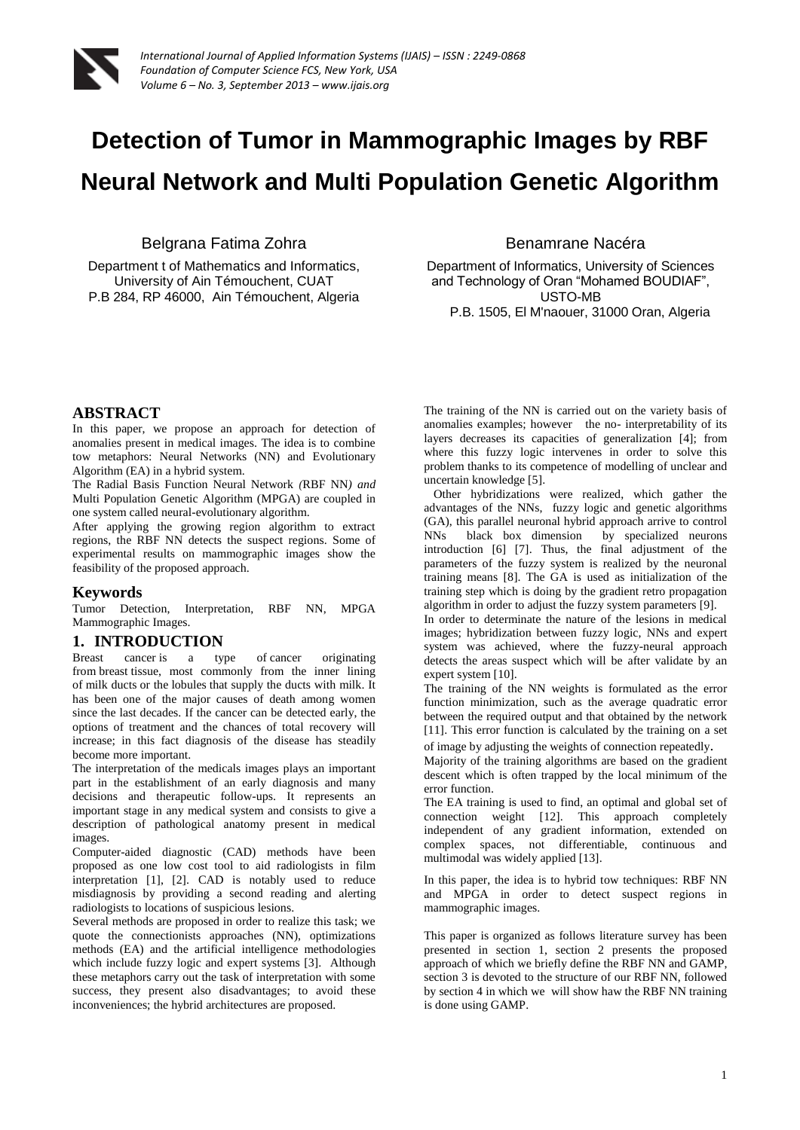

# **Detection of Tumor in Mammographic Images by RBF Neural Network and Multi Population Genetic Algorithm**

Belgrana Fatima Zohra

Department t of Mathematics and Informatics, University of Ain Témouchent, CUAT P.B 284, RP 46000, Ain Témouchent, Algeria Benamrane Nacéra

Department of Informatics, University of Sciences and Technology of Oran "Mohamed BOUDIAF", USTO-MB P.B. 1505, El M'naouer, 31000 Oran, Algeria

# **ABSTRACT**

In this paper, we propose an approach for detection of anomalies present in medical images. The idea is to combine tow metaphors: Neural Networks (NN) and Evolutionary Algorithm (EA) in a hybrid system.

The Radial Basis Function Neural Network *(*RBF NN*) and* Multi Population Genetic Algorithm (MPGA) are coupled in one system called neural-evolutionary algorithm.

After applying the growing region algorithm to extract regions, the RBF NN detects the suspect regions. Some of experimental results on mammographic images show the feasibility of the proposed approach.

## **Keywords**

Tumor Detection, Interpretation, RBF NN, MPGA Mammographic Images.

# **1. INTRODUCTION**

Breast cancer is a type of cancer originating from breast tissue, most commonly from the inner lining of milk ducts or the lobules that supply the ducts with milk. It has been one of the major causes of death among women since the last decades. If the cancer can be detected early, the options of treatment and the chances of total recovery will increase; in this fact diagnosis of the disease has steadily become more important.

The interpretation of the medicals images plays an important part in the establishment of an early diagnosis and many decisions and therapeutic follow-ups. It represents an important stage in any medical system and consists to give a description of pathological anatomy present in medical images.

Computer-aided diagnostic (CAD) methods have been proposed as one low cost tool to aid radiologists in film interpretation [1], [2]. CAD is notably used to reduce misdiagnosis by providing a second reading and alerting radiologists to locations of suspicious lesions.

Several methods are proposed in order to realize this task; we quote the connectionists approaches (NN), optimizations methods (EA) and the artificial intelligence methodologies which include fuzzy logic and expert systems [3]. Although these metaphors carry out the task of interpretation with some success, they present also disadvantages; to avoid these inconveniences; the hybrid architectures are proposed.

The training of the NN is carried out on the variety basis of anomalies examples; however the no- interpretability of its layers decreases its capacities of generalization [4]; from where this fuzzy logic intervenes in order to solve this problem thanks to its competence of modelling of unclear and uncertain knowledge [5].

Other hybridizations were realized, which gather the advantages of the NNs, fuzzy logic and genetic algorithms (GA), this parallel neuronal hybrid approach arrive to control NNs black box dimension by specialized neurons introduction [6] [7]. Thus, the final adjustment of the parameters of the fuzzy system is realized by the neuronal training means [8]. The GA is used as initialization of the training step which is doing by the gradient retro propagation algorithm in order to adjust the fuzzy system parameters [9].

In order to determinate the nature of the lesions in medical images; hybridization between fuzzy logic, NNs and expert system was achieved, where the fuzzy-neural approach detects the areas suspect which will be after validate by an expert system [10].

The training of the NN weights is formulated as the error function minimization, such as the average quadratic error between the required output and that obtained by the network [11]. This error function is calculated by the training on a set of image by adjusting the weights of connection repeatedly.

Majority of the training algorithms are based on the gradient descent which is often trapped by the local minimum of the error function.

The EA training is used to find, an optimal and global set of connection weight [12]. This approach completely independent of any gradient information, extended on complex spaces, not differentiable, continuous and multimodal was widely applied [13].

In this paper, the idea is to hybrid tow techniques: RBF NN and MPGA in order to detect suspect regions in mammographic images.

This paper is organized as follows literature survey has been presented in section 1, section 2 presents the proposed approach of which we briefly define the RBF NN and GAMP, section 3 is devoted to the structure of our RBF NN, followed by section 4 in which we will show haw the RBF NN training is done using GAMP.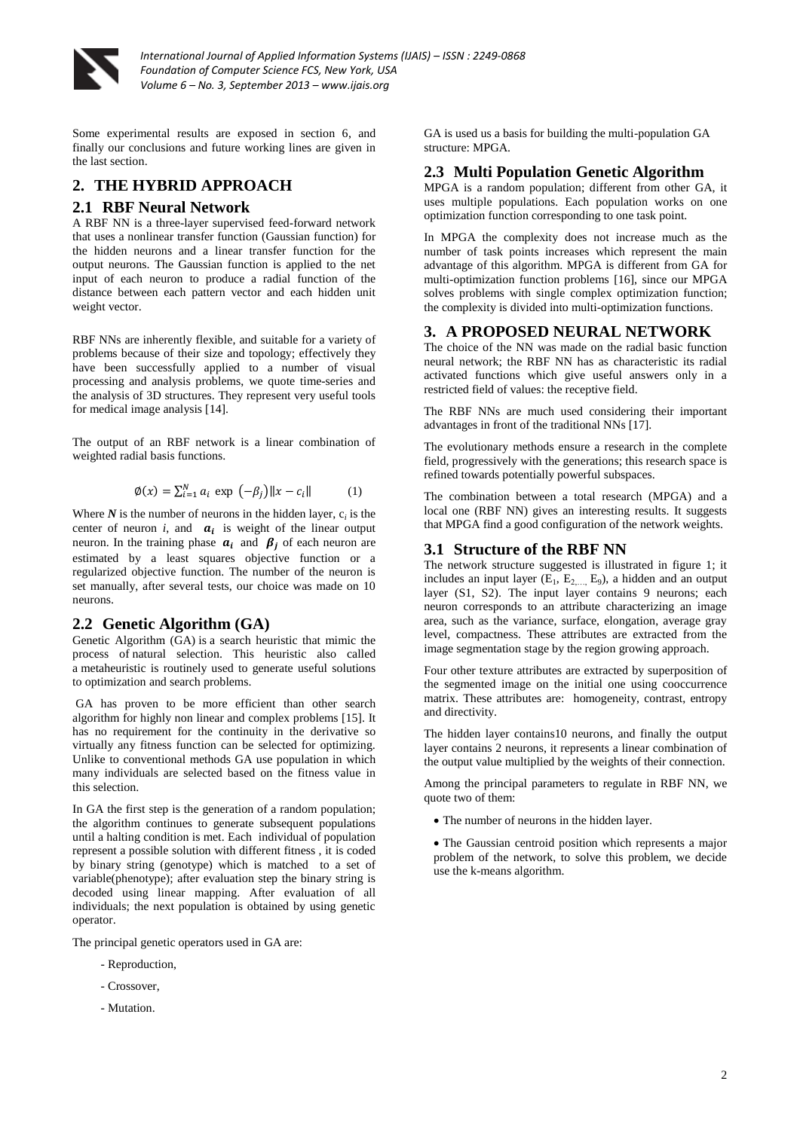

Some experimental results are exposed in section 6, and finally our conclusions and future working lines are given in the last section.

## **2. THE HYBRID APPROACH**

#### **2.1 RBF Neural Network**

A RBF NN is a three-layer supervised feed-forward network that uses a nonlinear transfer function (Gaussian function) for the hidden neurons and a linear transfer function for the output neurons. The Gaussian function is applied to the net input of each neuron to produce a radial function of the distance between each pattern vector and each hidden unit weight vector.

RBF NNs are inherently flexible, and suitable for a variety of problems because of their size and topology; effectively they have been successfully applied to a number of visual processing and analysis problems, we quote time-series and the analysis of 3D structures. They represent very useful tools for medical image analysis [14].

The output of an RBF network is a linear combination of weighted radial basis functions.

$$
\emptyset(x) = \sum_{i=1}^{N} a_i \exp(-\beta_j) ||x - c_i|| \tag{1}
$$

Where  $N$  is the number of neurons in the hidden layer,  $c_i$  is the center of neuron *i*, and  $a_i$  is weight of the linear output neuron. In the training phase  $a_i$  and  $\beta_j$  of each neuron are estimated by a least squares objective function or a regularized objective function. The number of the neuron is set manually, after several tests, our choice was made on 10 neurons.

## **2.2 Genetic Algorithm (GA)**

Genetic Algorithm (GA) is a search heuristic that mimic the process of natural selection. This heuristic also called a metaheuristic is routinely used to generate useful solutions to optimization and search problems.

GA has proven to be more efficient than other search algorithm for highly non linear and complex problems [15]. It has no requirement for the continuity in the derivative so virtually any fitness function can be selected for optimizing. Unlike to conventional methods GA use population in which many individuals are selected based on the fitness value in this selection.

In GA the first step is the generation of a random population; the algorithm continues to generate subsequent populations until a halting condition is met. Each individual of population represent a possible solution with different fitness , it is coded by binary string (genotype) which is matched to a set of variable(phenotype); after evaluation step the binary string is decoded using linear mapping. After evaluation of all individuals; the next population is obtained by using genetic operator.

The principal genetic operators used in GA are:

- Reproduction,
- Crossover,
- Mutation.

GA is used us a basis for building the multi-population GA structure: MPGA.

#### **2.3 Multi Population Genetic Algorithm**

MPGA is a random population; different from other GA*,* it uses multiple populations. Each population works on one optimization function corresponding to one task point.

In MPGA the complexity does not increase much as the number of task points increases which represent the main advantage of this algorithm. MPGA is different from GA for multi-optimization function problems [16], since our MPGA solves problems with single complex optimization function; the complexity is divided into multi-optimization functions.

## **3. A PROPOSED NEURAL NETWORK**

The choice of the NN was made on the radial basic function neural network; the RBF NN has as characteristic its radial activated functions which give useful answers only in a restricted field of values: the receptive field.

The RBF NNs are much used considering their important advantages in front of the traditional NNs [17].

The evolutionary methods ensure a research in the complete field, progressively with the generations; this research space is refined towards potentially powerful subspaces.

The combination between a total research (MPGA) and a local one (RBF NN) gives an interesting results. It suggests that MPGA find a good configuration of the network weights.

#### **3.1 Structure of the RBF NN**

The network structure suggested is illustrated in figure 1; it includes an input layer  $(E_1, E_{2,\ldots, E_9})$ , a hidden and an output layer (S1, S2). The input layer contains 9 neurons; each neuron corresponds to an attribute characterizing an image area, such as the variance, surface, elongation, average gray level, compactness. These attributes are extracted from the image segmentation stage by the region growing approach.

Four other texture attributes are extracted by superposition of the segmented image on the initial one using cooccurrence matrix. These attributes are: homogeneity, contrast, entropy and directivity.

The hidden layer contains10 neurons, and finally the output layer contains 2 neurons, it represents a linear combination of the output value multiplied by the weights of their connection.

Among the principal parameters to regulate in RBF NN, we quote two of them:

• The number of neurons in the hidden layer.

 The Gaussian centroid position which represents a major problem of the network, to solve this problem, we decide use the k-means algorithm.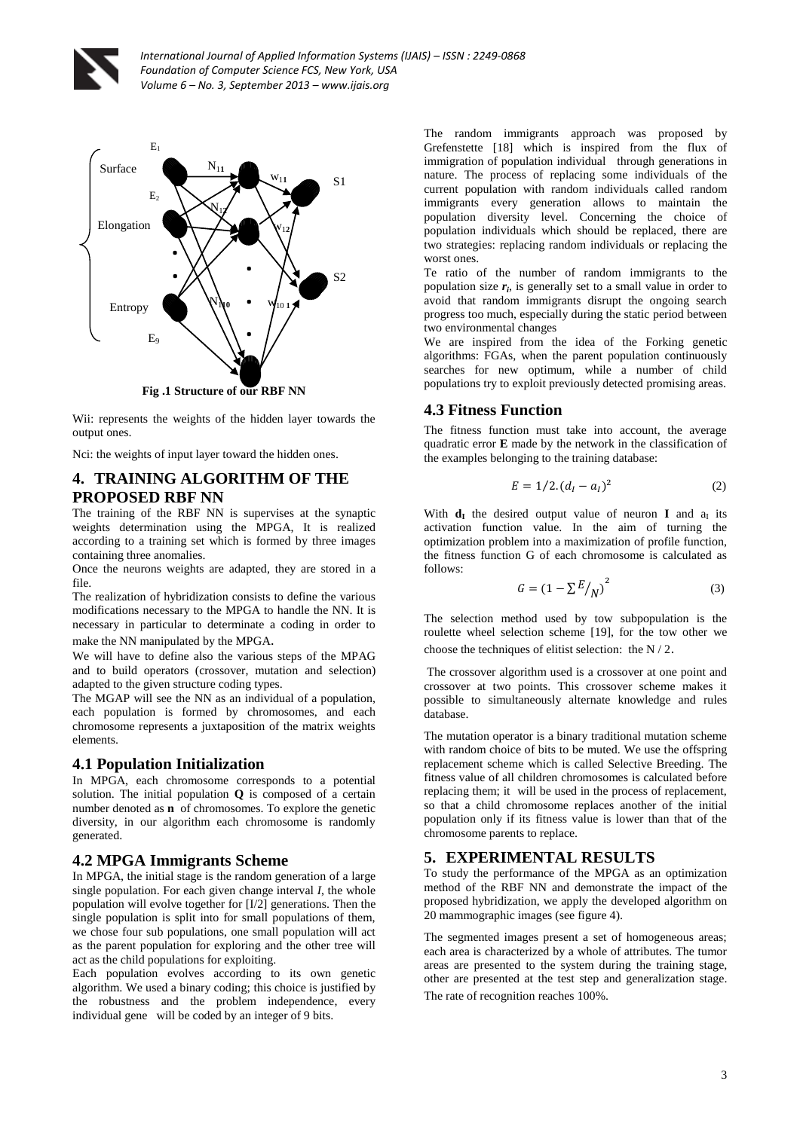



Wii: represents the weights of the hidden layer towards the **.** output ones.

Nci: the weights of input layer toward the hidden ones.<br>*A* TED A ININIC AT CODITIUM OF THE

# **4. TRAINING ALGORITHM OF THE PROPOSED RBF NN**

The training of the RBF NN is supervises at the synaptic weights determination using the MPGA, It is realized according to a training set which is formed by three images containing three anomalies.

Once the neurons weights are adapted, they are stored in a file.

The realization of hybridization consists to define the various modifications necessary to the MPGA to handle the NN. It is necessary in particular to determinate a coding in order to make the NN manipulated by the MPGA.

We will have to define also the various steps of the MPAG and to build operators (crossover, mutation and selection) adapted to the given structure coding types.

The MGAP will see the NN as an individual of a population, each population is formed by chromosomes, and each chromosome represents a juxtaposition of the matrix weights elements.

## **4.1 Population Initialization**

In MPGA, each chromosome corresponds to a potential solution. The initial population **Q** is composed of a certain number denoted as **n** of chromosomes. To explore the genetic diversity, in our algorithm each chromosome is randomly generated.

# **4.2 MPGA Immigrants Scheme**

In MPGA, the initial stage is the random generation of a large single population. For each given change interval *I*, the whole population will evolve together for [I/2] generations. Then the single population is split into for small populations of them, we chose four sub populations, one small population will act as the parent population for exploring and the other tree will act as the child populations for exploiting.

Each population evolves according to its own genetic algorithm. We used a binary coding; this choice is justified by the robustness and the problem independence, every individual gene will be coded by an integer of 9 bits.

The random immigrants approach was proposed by Grefenstette [18] which is inspired from the flux of immigration of population individual through generations in nature. The process of replacing some individuals of the current population with random individuals called random immigrants every generation allows to maintain the population diversity level. Concerning the choice of population individuals which should be replaced, there are two strategies: replacing random individuals or replacing the worst ones.

Te ratio of the number of random immigrants to the population size *r<sup>i</sup>* , is generally set to a small value in order to avoid that random immigrants disrupt the ongoing search progress too much, especially during the static period between two environmental changes

We are inspired from the idea of the Forking genetic algorithms: FGAs, when the parent population continuously searches for new optimum, while a number of child populations try to exploit previously detected promising areas.

# **4.3 Fitness Function**

The fitness function must take into account, the average quadratic error **E** made by the network in the classification of the examples belonging to the training database:

$$
E = 1/2. (d_I - a_I)^2
$$
 (2)

With  $d_I$  the desired output value of neuron **I** and  $a_I$  its activation function value. In the aim of turning the optimization problem into a maximization of profile function, the fitness function G of each chromosome is calculated as follows:

$$
G = \left(1 - \sum \frac{E}{N}\right)^2\tag{3}
$$

The selection method used by tow subpopulation is the roulette wheel selection scheme [19], for the tow other we choose the techniques of elitist selection: the N / 2.

The crossover algorithm used is a crossover at one point and crossover at two points. This crossover scheme makes it possible to simultaneously alternate knowledge and rules database.

The mutation operator is a binary traditional mutation scheme with random choice of bits to be muted. We use the offspring replacement scheme which is called Selective Breeding. The fitness value of all children chromosomes is calculated before replacing them; it will be used in the process of replacement, so that a child chromosome replaces another of the initial population only if its fitness value is lower than that of the chromosome parents to replace.

# **5. EXPERIMENTAL RESULTS**

To study the performance of the MPGA as an optimization method of the RBF NN and demonstrate the impact of the proposed hybridization, we apply the developed algorithm on 20 mammographic images (see figure 4).

The segmented images present a set of homogeneous areas; each area is characterized by a whole of attributes. The tumor areas are presented to the system during the training stage, other are presented at the test step and generalization stage. The rate of recognition reaches 100%.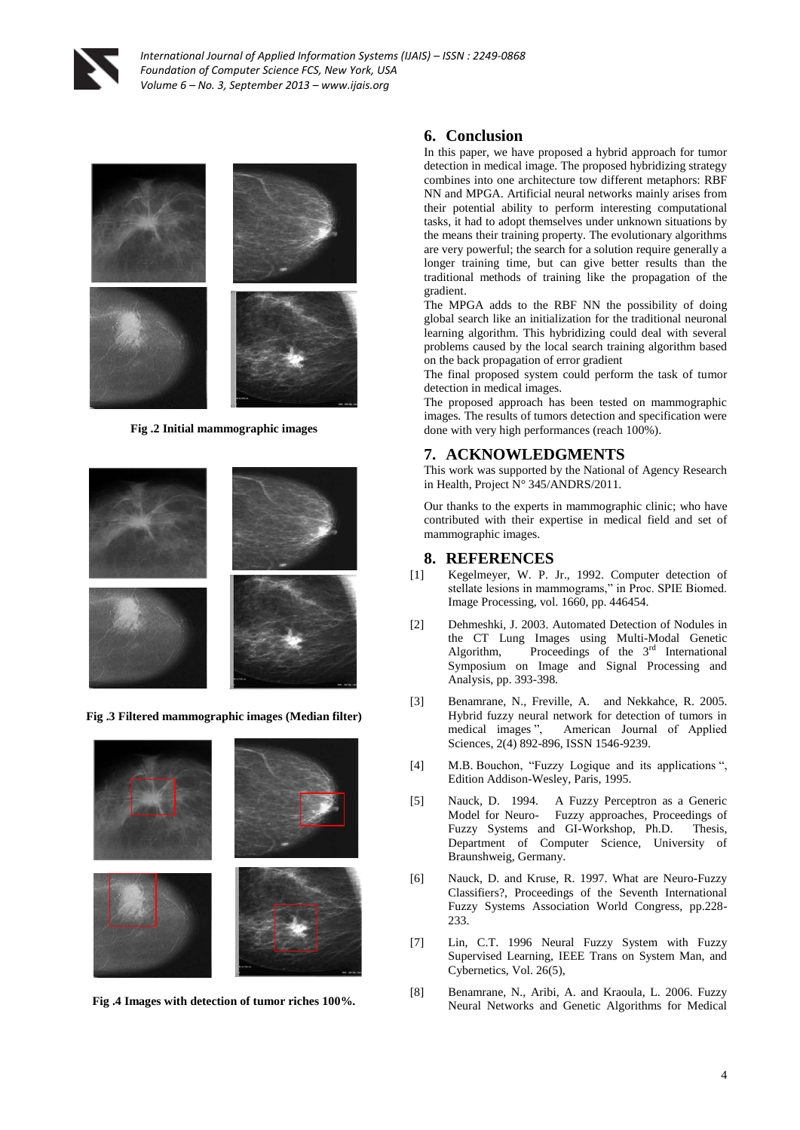



**Fig .2 Initial mammographic images**



**Fig .3 Filtered mammographic images (Median filter)**



**Fig .4 Images with detection of tumor riches 100%.**

## **6. Conclusion**

In this paper, we have proposed a hybrid approach for tumor detection in medical image. The proposed hybridizing strategy combines into one architecture tow different metaphors: RBF NN and MPGA. Artificial neural networks mainly arises from their potential ability to perform interesting computational tasks, it had to adopt themselves under unknown situations by the means their training property. The evolutionary algorithms are very powerful; the search for a solution require generally a longer training time, but can give better results than the traditional methods of training like the propagation of the gradient.

The MPGA adds to the RBF NN the possibility of doing global search like an initialization for the traditional neuronal learning algorithm. This hybridizing could deal with several problems caused by the local search training algorithm based on the back propagation of error gradient

The final proposed system could perform the task of tumor detection in medical images.

The proposed approach has been tested on mammographic images. The results of tumors detection and specification were done with very high performances (reach 100%).

#### **7. ACKNOWLEDGMENTS**

This work was supported by the National of Agency Research in Health, Project N° 345/ANDRS/2011.

Our thanks to the experts in mammographic clinic; who have contributed with their expertise in medical field and set of mammographic images.

#### **8. REFERENCES**

- [1] Kegelmeyer, W. P. Jr., 1992. Computer detection of stellate lesions in mammograms," in Proc. SPIE Biomed. Image Processing, vol. 1660, pp. 446454.
- [2] Dehmeshki, J. 2003. Automated Detection of Nodules in the CT Lung Images using Multi-Modal Genetic Algorithm, Proceedings of the  $3<sup>rd</sup>$  International Symposium on Image and Signal Processing and Analysis, pp. 393-398.
- [3] Benamrane, N., Freville, A. and Nekkahce, R. 2005. Hybrid fuzzy neural network for detection of tumors in medical images ", American Journal of Applied Sciences, 2(4) 892-896, ISSN 1546-9239.
- [4] M.B. Bouchon, "Fuzzy Logique and its applications ", Edition Addison-Wesley, Paris, 1995.
- [5] Nauck, D. 1994. A Fuzzy Perceptron as a Generic Model for Neuro- Fuzzy approaches, Proceedings of Fuzzy Systems and GI-Workshop, Ph.D. Thesis, Department of Computer Science, University of Braunshweig, Germany.
- [6] Nauck, D. and Kruse, R. 1997. What are Neuro-Fuzzy Classifiers?, Proceedings of the Seventh International Fuzzy Systems Association World Congress, pp.228- 233.
- [7] Lin, C.T. 1996 Neural Fuzzy System with Fuzzy Supervised Learning, IEEE Trans on System Man, and Cybernetics, Vol. 26(5),
- [8] Benamrane, N., Aribi, A. and Kraoula, L. 2006. Fuzzy Neural Networks and Genetic Algorithms for Medical